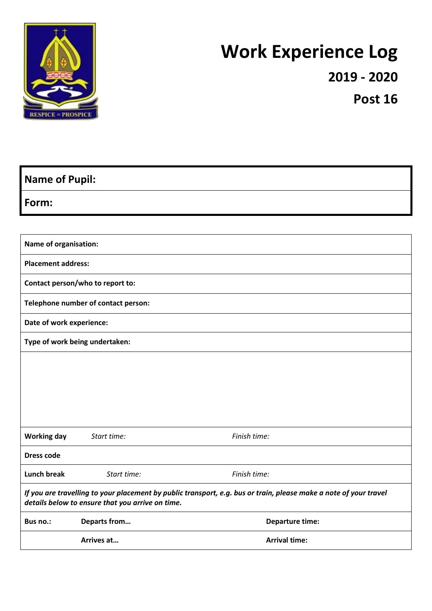

# **Work Experience Log**

**2019 - 2020**

**Post 16**

| <b>Name of Pupil:</b>                                                                                                                                                 |              |                        |  |  |
|-----------------------------------------------------------------------------------------------------------------------------------------------------------------------|--------------|------------------------|--|--|
| Form:                                                                                                                                                                 |              |                        |  |  |
|                                                                                                                                                                       |              |                        |  |  |
| Name of organisation:                                                                                                                                                 |              |                        |  |  |
| <b>Placement address:</b>                                                                                                                                             |              |                        |  |  |
| Contact person/who to report to:                                                                                                                                      |              |                        |  |  |
| Telephone number of contact person:                                                                                                                                   |              |                        |  |  |
| Date of work experience:                                                                                                                                              |              |                        |  |  |
| Type of work being undertaken:                                                                                                                                        |              |                        |  |  |
|                                                                                                                                                                       |              |                        |  |  |
|                                                                                                                                                                       |              |                        |  |  |
|                                                                                                                                                                       |              |                        |  |  |
|                                                                                                                                                                       |              |                        |  |  |
| <b>Working day</b>                                                                                                                                                    | Start time:  | Finish time:           |  |  |
| <b>Dress code</b>                                                                                                                                                     |              |                        |  |  |
| <b>Lunch break</b>                                                                                                                                                    | Start time:  | Finish time:           |  |  |
| If you are travelling to your placement by public transport, e.g. bus or train, please make a note of your travel<br>details below to ensure that you arrive on time. |              |                        |  |  |
| Bus no.:                                                                                                                                                              | Departs from | <b>Departure time:</b> |  |  |
|                                                                                                                                                                       | Arrives at   | <b>Arrival time:</b>   |  |  |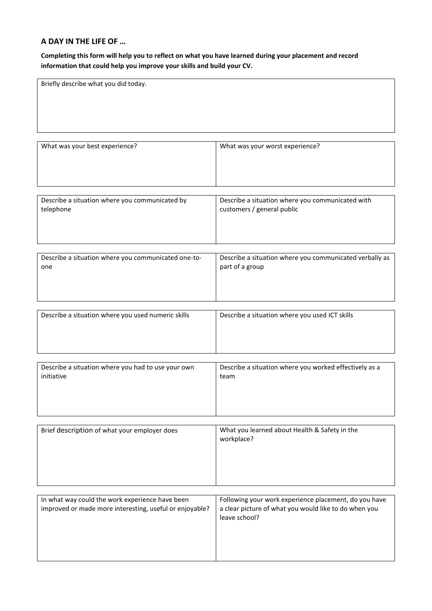# **A DAY IN THE LIFE OF …**

**Completing this form will help you to reflect on what you have learned during your placement and record information that could help you improve your skills and build your CV.**

| Briefly describe what you did today.                    |                                                                        |
|---------------------------------------------------------|------------------------------------------------------------------------|
|                                                         |                                                                        |
|                                                         |                                                                        |
|                                                         |                                                                        |
|                                                         |                                                                        |
| What was your best experience?                          | What was your worst experience?                                        |
|                                                         |                                                                        |
|                                                         |                                                                        |
|                                                         |                                                                        |
| Describe a situation where you communicated by          | Describe a situation where you communicated with                       |
| telephone                                               | customers / general public                                             |
|                                                         |                                                                        |
|                                                         |                                                                        |
|                                                         |                                                                        |
| Describe a situation where you communicated one-to-     | Describe a situation where you communicated verbally as                |
| one                                                     | part of a group                                                        |
|                                                         |                                                                        |
|                                                         |                                                                        |
|                                                         |                                                                        |
| Describe a situation where you used numeric skills      | Describe a situation where you used ICT skills                         |
|                                                         |                                                                        |
|                                                         |                                                                        |
|                                                         |                                                                        |
| Describe a situation where you had to use your own      | Describe a situation where you worked effectively as a                 |
| initiative                                              | team                                                                   |
|                                                         |                                                                        |
|                                                         |                                                                        |
|                                                         |                                                                        |
| Brief description of what your employer does            | What you learned about Health & Safety in the                          |
|                                                         | workplace?                                                             |
|                                                         |                                                                        |
|                                                         |                                                                        |
|                                                         |                                                                        |
|                                                         |                                                                        |
| In what way could the work experience have been         | Following your work experience placement, do you have                  |
| improved or made more interesting, useful or enjoyable? | a clear picture of what you would like to do when you<br>leave school? |
|                                                         |                                                                        |
|                                                         |                                                                        |
|                                                         |                                                                        |
|                                                         |                                                                        |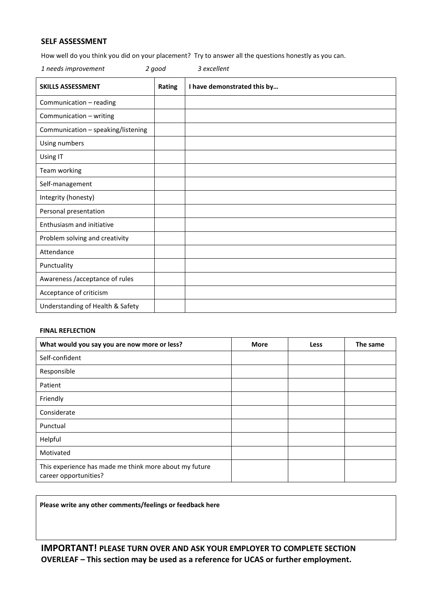## **SELF ASSESSMENT**

How well do you think you did on your placement? Try to answer all the questions honestly as you can.

| 1 needs improvement                | 2 good | 3 excellent                 |
|------------------------------------|--------|-----------------------------|
| <b>SKILLS ASSESSMENT</b>           | Rating | I have demonstrated this by |
| Communication - reading            |        |                             |
| Communication - writing            |        |                             |
| Communication - speaking/listening |        |                             |
| Using numbers                      |        |                             |
| Using IT                           |        |                             |
| Team working                       |        |                             |
| Self-management                    |        |                             |
| Integrity (honesty)                |        |                             |
| Personal presentation              |        |                             |
| Enthusiasm and initiative          |        |                             |
| Problem solving and creativity     |        |                             |
| Attendance                         |        |                             |
| Punctuality                        |        |                             |
| Awareness /acceptance of rules     |        |                             |
| Acceptance of criticism            |        |                             |
| Understanding of Health & Safety   |        |                             |

#### **FINAL REFLECTION**

| What would you say you are now more or less?                                    | <b>More</b> | Less | The same |
|---------------------------------------------------------------------------------|-------------|------|----------|
| Self-confident                                                                  |             |      |          |
| Responsible                                                                     |             |      |          |
| Patient                                                                         |             |      |          |
| Friendly                                                                        |             |      |          |
| Considerate                                                                     |             |      |          |
| Punctual                                                                        |             |      |          |
| Helpful                                                                         |             |      |          |
| Motivated                                                                       |             |      |          |
| This experience has made me think more about my future<br>career opportunities? |             |      |          |

**Please write any other comments/feelings or feedback here**

**IMPORTANT! PLEASE TURN OVER AND ASK YOUR EMPLOYER TO COMPLETE SECTION OVERLEAF – This section may be used as a reference for UCAS or further employment.**